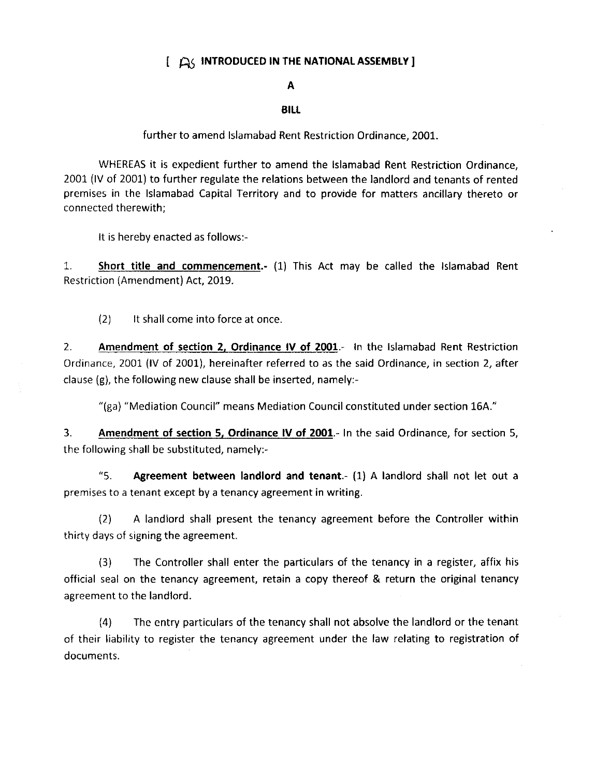## $I \nrightarrow$  INTRODUCED IN THE NATIONAL ASSEMBLY ]

## A

## **BILL**

further to amend lslamabad Rent Restriction Ordinance, 2001

WHEREAS it is expedient further to amend the lslamabad Rent Restriction Ordinance, 2001 (lV of 2001) to further regulate the relations between the landlord and tenants of rented premises in the lslamabad Capital Territory and to provide for matters ancillary thereto or connected therewith;

It is hereby enacted as follows:-

1. Short title and commencement.- (1) This Act may be called the lslamabad Rent Restriction (Anrendment) Act, 2019.

12) lt shall come into force at once

2. Amendment of section 2, Ordinance lV of 2001.- ln the lslamabad Rent Restriction Ordinance,2001 (lV of 2001), hereinafter referred to as the said Ordinance, in section 2, after clause (g), the following new clause shall be inserted, namely:-

"(ga) "Mediation Council" means Mediation Council constituted under section 164."

3. Amendment of section 5, Ordinance IV of 2001.- In the said Ordinance, for section 5, the following shall be substituted, namely:-

"5. Agreement between landlord and tenant.-  $(1)$  A landlord shall not let out a premises to a tenant except by a tenancy agreement in writing.

(2) A landlord shall present the tenancy agreement before the Controller within thirty days of signing the agreement.

(3) The Controller shall enter the particulars of the tenancy in a register, affix his official seal on the tenancy agreement, retain a copy thereof & return the original tenancy agreement to the landlord.

(4) The entry particulars of the tenancy shall not absolve the landlord or the tenant of their liability to register the tenancy agreement under the law relating to registration of documents.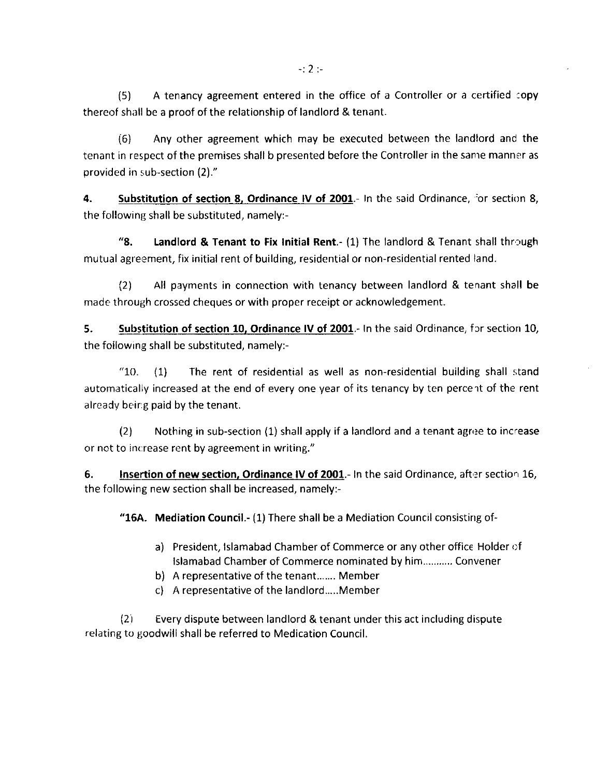(6) Any other agreement which may be executed between the landlord and the tenant in respect of the premises shall b presented before the Controller in the sanre manner as provided in sub-section (2)."

4. Substitution of section 8, Ordinance IV of  $2001$ .- In the said Ordinance, for section 8, the following shall be substituted, namely:-

"8. Landlord & Tenant to Fix Initial Rent.- (1) The landlord & Tenant shall through mutual agreement, fix initial rent of building, residential or non-residential rented land.

l2l All payments in connection with tenancy between landlord & tenant shall be made through crossed cheques or with proper receipt or acknowledgement.

5. Substitution of section 10, Ordinance IV of 2001.- In the said Ordinance, for section 10, the following shall be substituted, namely:-

" $10.$  (1) The rent of residential as well as non-residential building shall stand automatically increased at the end of every one year of its tenancy by ten percent of the rent already being paid by the tenant.

 $(2)$  Nothing in sub-section  $(1)$  shall apply if a landlord and a tenant agree to increase or not to increase rent by agreement in writing."

6. **Insertion of new section, Ordinance IV of 2001.** In the said Ordinance, after section 16, the following new section shall be increased, namely:-

"15A. Mediation Council.- (1) There shall be a Mediation Council consisting of-

- a) President, Islamabad Chamber of Commerce or any other office Holder of lslamabad Chamber of Commerce nominated by him........... Convener
- b) A representative of the tenant....... Member
- c) A representative of the landlord.....Member

(2i Every dispute between landlord & tenant under this act including dispute relating to goodwill shall be referred to Medication Council.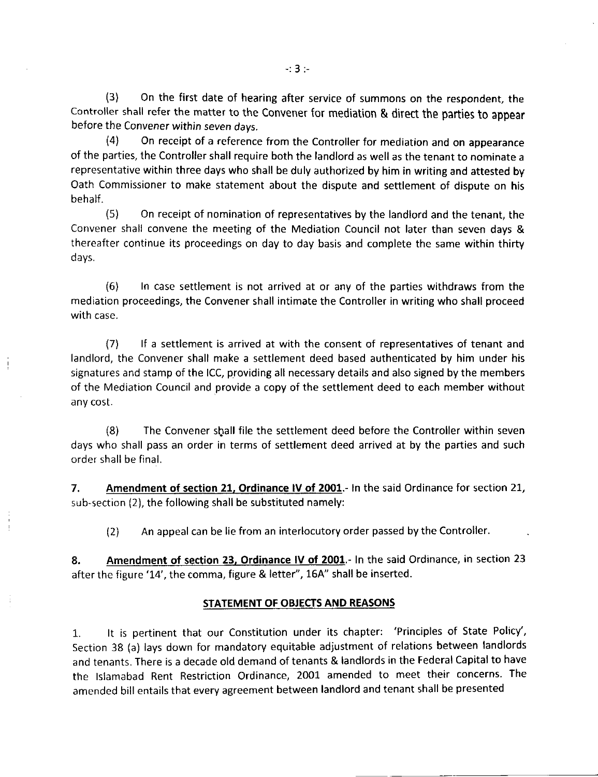(3) On the first date of hearing after service of summons on the respondent, the controller shall refer the matter to the Convener for mediation & direct the parties to appear before the Convener within seven days.

(4) On receipt of a reference from the Controller for mediation and on appearance of the parties, the Controller shall require both the landlord as well as the tenant to nominate <sup>a</sup> representative within three days who shall be duly authorized by him in writing and attested by Oath Commissioner to make statement about the dispute and settlement of dispute on his behalf.

(5) On receipt of nomination of representatives by the landlord and the tenant, the Convener shall convene the meeting of the Mediation Council not later than seven days & thereafter continue its proceedings on day to day basis and complete the same within thirty days,

(6) ln case settlement is not arrived at or any of the parties withdraws from the mediation proceedings, the Convener shall intimate the Controller in writing who shall proceed with case.

(7\ lf a settlement is arrived at with the consent of representatives of tenant and landlord, the Convener shall make a settlement deed based authenticated by him under his signatures and stamp of the lCC, providing all necessary details and also signed by the members of the Mediation Council and provide a copy of the settlement deed to each member without any cost.

(8) The Convener slrall file the settlement deed before the Controller within seven days who shall pass an order in terms of settlement deed arrived at by the parties and such order sh all be final.

7. Amendment of section 21, Ordinance IV of 2001.- In the said Ordinance for section 21, sub-section (2), the following shall be substituted namely:

(2) An appeal can be lie from an interlocutory order passed by the Controller.

8. Amendment of section 23, Ordinance IV of 2001.- In the said Ordinance, in section 23 after the figure '14', the comma, figure & letter", 164" shall be inserted.

## STATEMENT OF OBJECTS AND REASONS

1. lt is pertinent that our constitution under its chapter: 'Principles of state Policy', Section 38 (a) lays down for mandatory equitable adjustment of relations between landlords and tenants. There is a decade old demand of tenants & landlords in the Federal Capital to have the lslamabad Rent Restriction Ordinance, 2001 amended to meet their concerns. The amended bill entails that every agreement between landlord and tenant shall be presented